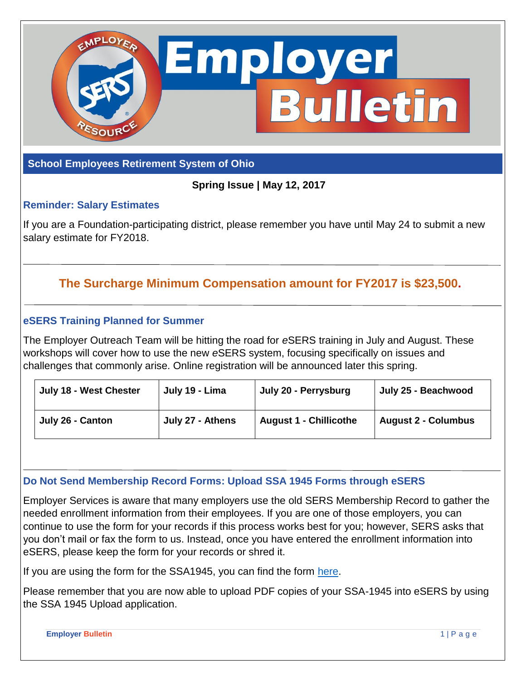

#### **School Employees Retirement System of Ohio**

**Spring Issue | May 12, 2017**

## **Reminder: Salary Estimates**

If you are a Foundation-participating district, please remember you have until May 24 to submit a new salary estimate for FY2018.

# **The Surcharge Minimum Compensation amount for FY2017 is \$23,500.**

#### **eSERS Training Planned for Summer**

The Employer Outreach Team will be hitting the road for *e*SERS training in July and August. These workshops will cover how to use the new *e*SERS system, focusing specifically on issues and challenges that commonly arise. Online registration will be announced later this spring.

| July 18 - West Chester | July 19 - Lima   | July 20 - Perrysburg          | July 25 - Beachwood        |
|------------------------|------------------|-------------------------------|----------------------------|
| July 26 - Canton       | July 27 - Athens | <b>August 1 - Chillicothe</b> | <b>August 2 - Columbus</b> |

#### **Do Not Send Membership Record Forms: Upload SSA 1945 Forms through eSERS**

Employer Services is aware that many employers use the old SERS Membership Record to gather the needed enrollment information from their employees. If you are one of those employers, you can continue to use the form for your records if this process works best for you; however, SERS asks that you don't mail or fax the form to us. Instead, once you have entered the enrollment information into eSERS, please keep the form for your records or shred it.

If you are using the form for the SSA1945, you can find the form [here.](http://www.socialsecurity.gov/forms/ssa-1945.pdf)

Please remember that you are now able to upload PDF copies of your SSA-1945 into eSERS by using the SSA 1945 Upload application.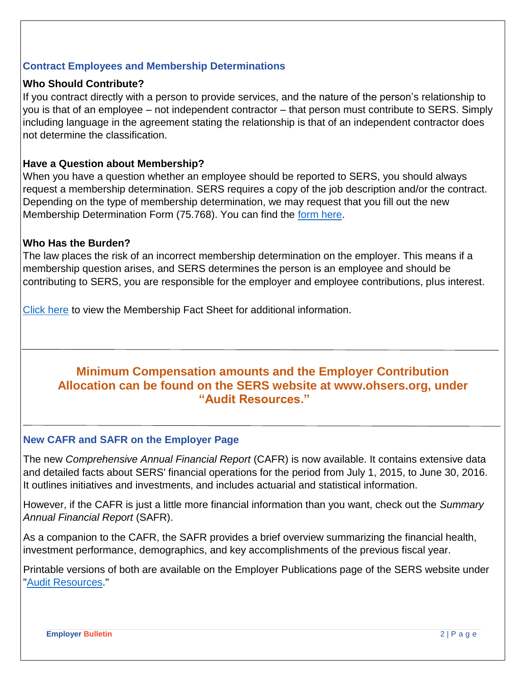## **Contract Employees and Membership Determinations**

### **Who Should Contribute?**

If you contract directly with a person to provide services, and the nature of the person's relationship to you is that of an employee – not independent contractor – that person must contribute to SERS. Simply including language in the agreement stating the relationship is that of an independent contractor does not determine the classification.

#### **Have a Question about Membership?**

When you have a question whether an employee should be reported to SERS, you should always request a membership determination. SERS requires a copy of the job description and/or the contract. Depending on the type of membership determination, we may request that you fill out the new Membership Determination Form (75.768). You can find the [form here.](http://www.ohsers.org/Document/Get/15710)

#### **Who Has the Burden?**

The law places the risk of an incorrect membership determination on the employer. This means if a membership question arises, and SERS determines the person is an employee and should be contributing to SERS, you are responsible for the employer and employee contributions, plus interest.

[Click here](http://www.ohsers.org/Document/Get/16135) to view the Membership Fact Sheet for additional information.

## **Minimum Compensation amounts and the Employer Contribution Allocation can be found on the SERS website at www.ohsers.org, under "Audit Resources."**

#### **New CAFR and SAFR on the Employer Page**

The new *Comprehensive Annual Financial Report* (CAFR) is now available. It contains extensive data and detailed facts about SERS' financial operations for the period from July 1, 2015, to June 30, 2016. It outlines initiatives and investments, and includes actuarial and statistical information.

However, if the CAFR is just a little more financial information than you want, check out the *Summary Annual Financial Report* (SAFR).

As a companion to the CAFR, the SAFR provides a brief overview summarizing the financial health, investment performance, demographics, and key accomplishments of the previous fiscal year.

Printable versions of both are available on the Employer Publications page of the SERS website under ["Audit Resources.](http://www.ohsers.org/audit-resources)"